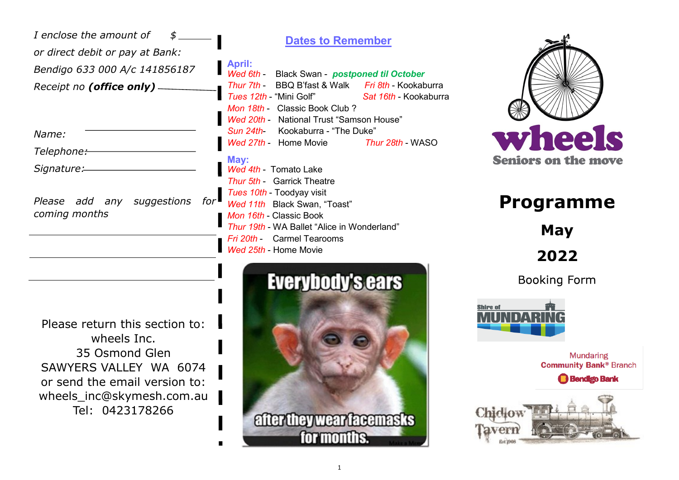| I enclose the amount of<br>or direct debit or pay at Bank:  | <b>Dates to Remember</b>                                                                                                                                                                               |
|-------------------------------------------------------------|--------------------------------------------------------------------------------------------------------------------------------------------------------------------------------------------------------|
| Bendigo 633 000 A/c 141856187<br>Receipt no (office only) - | April:<br>Wed 6th - Black Swan - postponed til October<br>Thur 7th - BBQ B'fast & Walk Fri 8th - Kookaburra<br><i>Tues 12th</i> - "Mini Golf"<br>Sat 16th - Kookaburr<br>Mon 18th - Classic Book Club? |
| Name:<br>Telephone:-                                        | Wed 20th - National Trust "Samson House"<br>Sun 24th Kookaburra - "The Duke"<br>Wed 27th - Home Movie<br><i>Thur 28th -</i> WASO                                                                       |
| Signature:                                                  | May:<br>Wed 4th - Tomato Lake<br><b>Thur 5th - Garrick Theatre</b>                                                                                                                                     |
| suggestions<br>Please<br>add<br>any<br>coming months        | Tues 10th - Toodyay visit<br>Wed 11th Black Swan, "Toast"<br>Mon 16th - Classic Book<br>Thur 19th - WA Ballet "Alice in Wonderland"<br><b>Carmel Tearooms</b><br>Fri 20th -                            |

*Wed 25th* - Home Movie

Please return this section to: wheels Inc. 35 Osmond Glen SAWYERS VALLEY WA 6074 or send the email version to: wheels\_inc@skymesh.com.au Tel: 0423178266

# **Everybody's ears**



## **Programme**

**May**

**2022**

**Booking Form** 



**Mundaring Community Bank® Branch** 

**Bendigo Bank** 



*Tues 12th* - "Mini Golf" *Sat 16th* - Kookaburra

after they wear facemasks

for months.